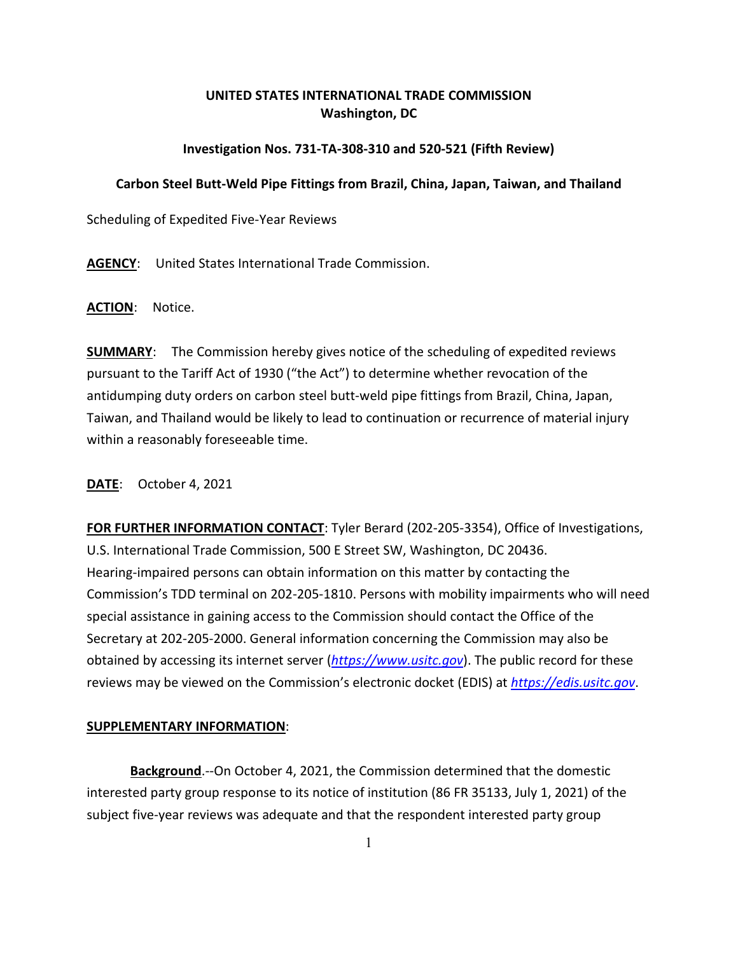## **UNITED STATES INTERNATIONAL TRADE COMMISSION Washington, DC**

## **Investigation Nos. 731-TA-308-310 and 520-521 (Fifth Review)**

## **Carbon Steel Butt-Weld Pipe Fittings from Brazil, China, Japan, Taiwan, and Thailand**

Scheduling of Expedited Five-Year Reviews

**AGENCY**: United States International Trade Commission.

**ACTION**: Notice.

**SUMMARY**: The Commission hereby gives notice of the scheduling of expedited reviews pursuant to the Tariff Act of 1930 ("the Act") to determine whether revocation of the antidumping duty orders on carbon steel butt-weld pipe fittings from Brazil, China, Japan, Taiwan, and Thailand would be likely to lead to continuation or recurrence of material injury within a reasonably foreseeable time.

**DATE**: October 4, 2021

**FOR FURTHER INFORMATION CONTACT**: Tyler Berard (202-205-3354), Office of Investigations, U.S. International Trade Commission, 500 E Street SW, Washington, DC 20436. Hearing-impaired persons can obtain information on this matter by contacting the Commission's TDD terminal on 202-205-1810. Persons with mobility impairments who will need special assistance in gaining access to the Commission should contact the Office of the Secretary at 202-205-2000. General information concerning the Commission may also be obtained by accessing its internet server (*[https://www.usitc.gov](https://www.usitc.gov/)*). The public record for these reviews may be viewed on the Commission's electronic docket (EDIS) at *[https://edis.usitc.gov](https://edis.usitc.gov/)*.

## **SUPPLEMENTARY INFORMATION**:

**Background**.--On October 4, 2021, the Commission determined that the domestic interested party group response to its notice of institution (86 FR 35133, July 1, 2021) of the subject five-year reviews was adequate and that the respondent interested party group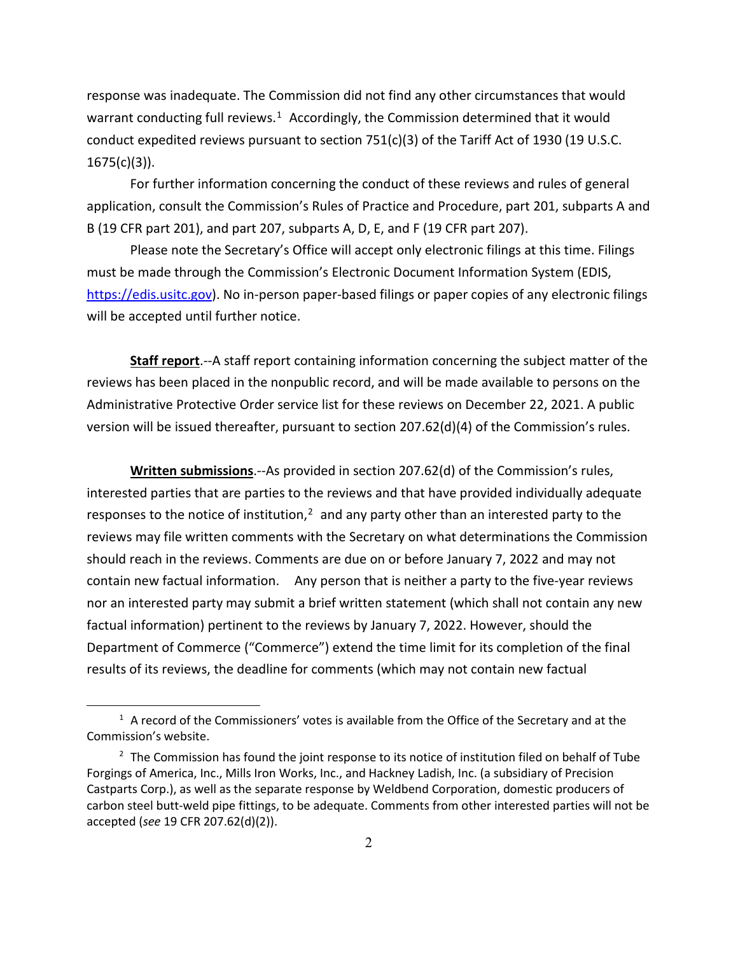response was inadequate. The Commission did not find any other circumstances that would warrant conducting full reviews.<sup>[1](#page-1-0)</sup> Accordingly, the Commission determined that it would conduct expedited reviews pursuant to section 751(c)(3) of the Tariff Act of 1930 (19 U.S.C.  $1675(c)(3)$ ).

For further information concerning the conduct of these reviews and rules of general application, consult the Commission's Rules of Practice and Procedure, part 201, subparts A and B (19 CFR part 201), and part 207, subparts A, D, E, and F (19 CFR part 207).

Please note the Secretary's Office will accept only electronic filings at this time. Filings must be made through the Commission's Electronic Document Information System (EDIS, [https://edis.usitc.gov\)](https://edis.usitc.gov/). No in-person paper-based filings or paper copies of any electronic filings will be accepted until further notice.

**Staff report**.--A staff report containing information concerning the subject matter of the reviews has been placed in the nonpublic record, and will be made available to persons on the Administrative Protective Order service list for these reviews on December 22, 2021. A public version will be issued thereafter, pursuant to section 207.62(d)(4) of the Commission's rules.

**Written submissions**.--As provided in section 207.62(d) of the Commission's rules, interested parties that are parties to the reviews and that have provided individually adequate responses to the notice of institution, $<sup>2</sup>$  $<sup>2</sup>$  $<sup>2</sup>$  and any party other than an interested party to the</sup> reviews may file written comments with the Secretary on what determinations the Commission should reach in the reviews. Comments are due on or before January 7, 2022 and may not contain new factual information. Any person that is neither a party to the five-year reviews nor an interested party may submit a brief written statement (which shall not contain any new factual information) pertinent to the reviews by January 7, 2022. However, should the Department of Commerce ("Commerce") extend the time limit for its completion of the final results of its reviews, the deadline for comments (which may not contain new factual

<span id="page-1-0"></span> $<sup>1</sup>$  A record of the Commissioners' votes is available from the Office of the Secretary and at the</sup> Commission's website.

<span id="page-1-1"></span> $2$  The Commission has found the joint response to its notice of institution filed on behalf of Tube Forgings of America, Inc., Mills Iron Works, Inc., and Hackney Ladish, Inc. (a subsidiary of Precision Castparts Corp.), as well as the separate response by Weldbend Corporation, domestic producers of carbon steel butt-weld pipe fittings, to be adequate. Comments from other interested parties will not be accepted (*see* 19 CFR 207.62(d)(2)).